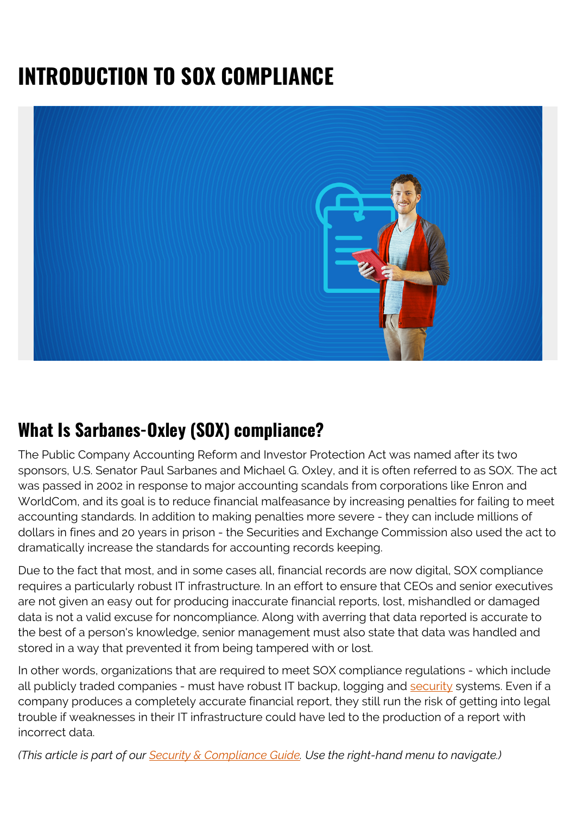# **INTRODUCTION TO SOX COMPLIANCE**



### **What Is Sarbanes-Oxley (SOX) compliance?**

The Public Company Accounting Reform and Investor Protection Act was named after its two sponsors, U.S. Senator Paul Sarbanes and Michael G. Oxley, and it is often referred to as SOX. The act was passed in 2002 in response to major accounting scandals from corporations like Enron and WorldCom, and its goal is to reduce financial malfeasance by increasing penalties for failing to meet accounting standards. In addition to making penalties more severe - they can include millions of dollars in fines and 20 years in prison - the Securities and Exchange Commission also used the act to dramatically increase the standards for accounting records keeping.

Due to the fact that most, and in some cases all, financial records are now digital, SOX compliance requires a particularly robust IT infrastructure. In an effort to ensure that CEOs and senior executives are not given an easy out for producing inaccurate financial reports, lost, mishandled or damaged data is not a valid excuse for noncompliance. Along with averring that data reported is accurate to the best of a person's knowledge, senior management must also state that data was handled and stored in a way that prevented it from being tampered with or lost.

In other words, organizations that are required to meet SOX compliance regulations - which include all publicly traded companies - must have robust IT backup, logging and [security](https://blogs.bmc.com/blogs/security-vulnerability-vs-threat-vs-risk-whats-difference/) systems. Even if a company produces a completely accurate financial report, they still run the risk of getting into legal trouble if weaknesses in their IT infrastructure could have led to the production of a report with incorrect data.

*(This article is part of our [Security & Compliance Guide](https://blogs.bmc.com/blogs/security-introduction/). Use the right-hand menu to navigate.)*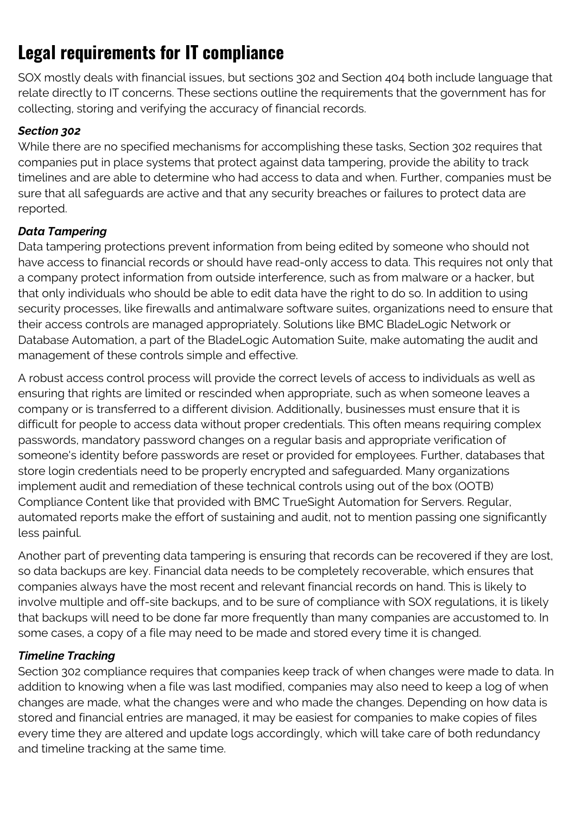## **Legal requirements for IT compliance**

SOX mostly deals with financial issues, but sections 302 and Section 404 both include language that relate directly to IT concerns. These sections outline the requirements that the government has for collecting, storing and verifying the accuracy of financial records.

#### *Section 302*

While there are no specified mechanisms for accomplishing these tasks, Section 302 requires that companies put in place systems that protect against data tampering, provide the ability to track timelines and are able to determine who had access to data and when. Further, companies must be sure that all safeguards are active and that any security breaches or failures to protect data are reported.

#### *Data Tampering*

Data tampering protections prevent information from being edited by someone who should not have access to financial records or should have read-only access to data. This requires not only that a company protect information from outside interference, such as from malware or a hacker, but that only individuals who should be able to edit data have the right to do so. In addition to using security processes, like firewalls and antimalware software suites, organizations need to ensure that their access controls are managed appropriately. Solutions like BMC BladeLogic Network or Database Automation, a part of the BladeLogic Automation Suite, make automating the audit and management of these controls simple and effective.

A robust access control process will provide the correct levels of access to individuals as well as ensuring that rights are limited or rescinded when appropriate, such as when someone leaves a company or is transferred to a different division. Additionally, businesses must ensure that it is difficult for people to access data without proper credentials. This often means requiring complex passwords, mandatory password changes on a regular basis and appropriate verification of someone's identity before passwords are reset or provided for employees. Further, databases that store login credentials need to be properly encrypted and safeguarded. Many organizations implement audit and remediation of these technical controls using out of the box (OOTB) Compliance Content like that provided with BMC TrueSight Automation for Servers. Regular, automated reports make the effort of sustaining and audit, not to mention passing one significantly less painful.

Another part of preventing data tampering is ensuring that records can be recovered if they are lost, so data backups are key. Financial data needs to be completely recoverable, which ensures that companies always have the most recent and relevant financial records on hand. This is likely to involve multiple and off-site backups, and to be sure of compliance with SOX regulations, it is likely that backups will need to be done far more frequently than many companies are accustomed to. In some cases, a copy of a file may need to be made and stored every time it is changed.

#### *Timeline Tracking*

Section 302 compliance requires that companies keep track of when changes were made to data. In addition to knowing when a file was last modified, companies may also need to keep a log of when changes are made, what the changes were and who made the changes. Depending on how data is stored and financial entries are managed, it may be easiest for companies to make copies of files every time they are altered and update logs accordingly, which will take care of both redundancy and timeline tracking at the same time.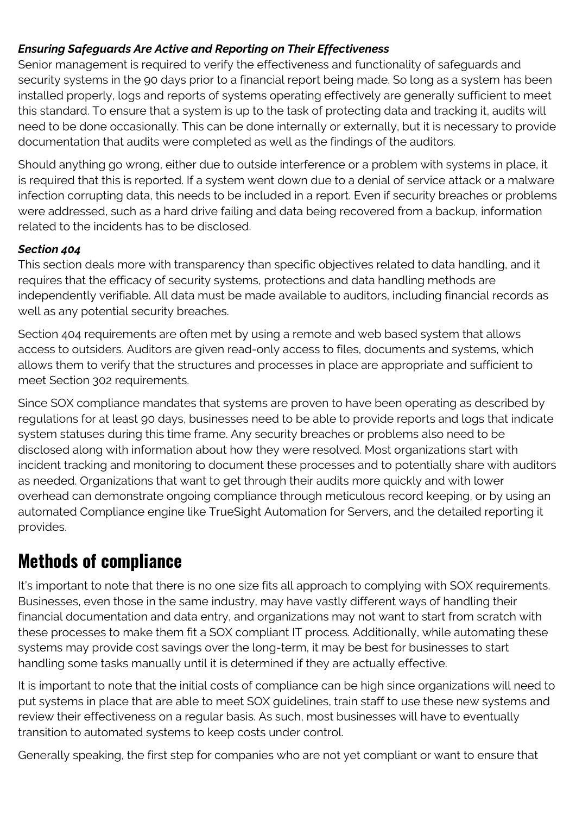#### *Ensuring Safeguards Are Active and Reporting on Their Effectiveness*

Senior management is required to verify the effectiveness and functionality of safeguards and security systems in the 90 days prior to a financial report being made. So long as a system has been installed properly, logs and reports of systems operating effectively are generally sufficient to meet this standard. To ensure that a system is up to the task of protecting data and tracking it, audits will need to be done occasionally. This can be done internally or externally, but it is necessary to provide documentation that audits were completed as well as the findings of the auditors.

Should anything go wrong, either due to outside interference or a problem with systems in place, it is required that this is reported. If a system went down due to a denial of service attack or a malware infection corrupting data, this needs to be included in a report. Even if security breaches or problems were addressed, such as a hard drive failing and data being recovered from a backup, information related to the incidents has to be disclosed.

#### *Section 404*

This section deals more with transparency than specific objectives related to data handling, and it requires that the efficacy of security systems, protections and data handling methods are independently verifiable. All data must be made available to auditors, including financial records as well as any potential security breaches.

Section 404 requirements are often met by using a remote and web based system that allows access to outsiders. Auditors are given read-only access to files, documents and systems, which allows them to verify that the structures and processes in place are appropriate and sufficient to meet Section 302 requirements.

Since SOX compliance mandates that systems are proven to have been operating as described by regulations for at least 90 days, businesses need to be able to provide reports and logs that indicate system statuses during this time frame. Any security breaches or problems also need to be disclosed along with information about how they were resolved. Most organizations start with incident tracking and monitoring to document these processes and to potentially share with auditors as needed. Organizations that want to get through their audits more quickly and with lower overhead can demonstrate ongoing compliance through meticulous record keeping, or by using an automated Compliance engine like TrueSight Automation for Servers, and the detailed reporting it provides.

### **Methods of compliance**

It's important to note that there is no one size fits all approach to complying with SOX requirements. Businesses, even those in the same industry, may have vastly different ways of handling their financial documentation and data entry, and organizations may not want to start from scratch with these processes to make them fit a SOX compliant IT process. Additionally, while automating these systems may provide cost savings over the long-term, it may be best for businesses to start handling some tasks manually until it is determined if they are actually effective.

It is important to note that the initial costs of compliance can be high since organizations will need to put systems in place that are able to meet SOX guidelines, train staff to use these new systems and review their effectiveness on a regular basis. As such, most businesses will have to eventually transition to automated systems to keep costs under control.

Generally speaking, the first step for companies who are not yet compliant or want to ensure that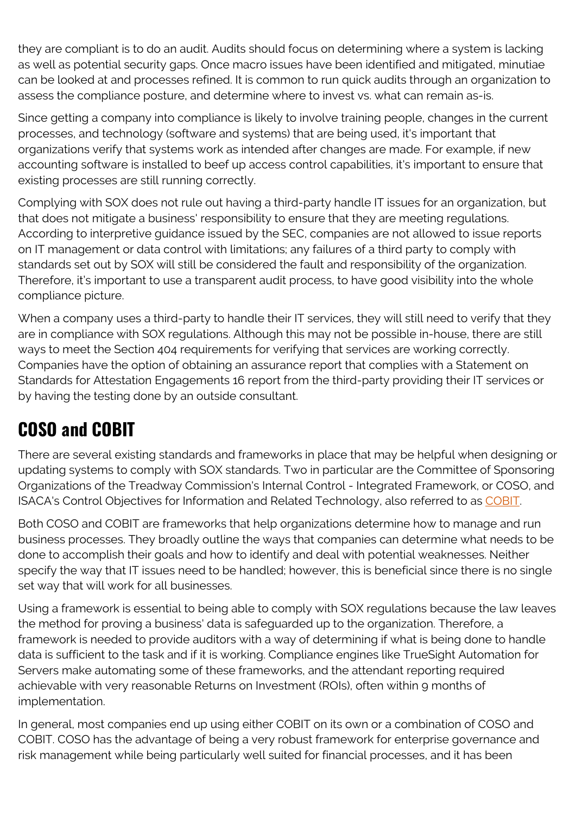they are compliant is to do an audit. Audits should focus on determining where a system is lacking as well as potential security gaps. Once macro issues have been identified and mitigated, minutiae can be looked at and processes refined. It is common to run quick audits through an organization to assess the compliance posture, and determine where to invest vs. what can remain as-is.

Since getting a company into compliance is likely to involve training people, changes in the current processes, and technology (software and systems) that are being used, it's important that organizations verify that systems work as intended after changes are made. For example, if new accounting software is installed to beef up access control capabilities, it's important to ensure that existing processes are still running correctly.

Complying with SOX does not rule out having a third-party handle IT issues for an organization, but that does not mitigate a business' responsibility to ensure that they are meeting regulations. According to interpretive guidance issued by the SEC, companies are not allowed to issue reports on IT management or data control with limitations; any failures of a third party to comply with standards set out by SOX will still be considered the fault and responsibility of the organization. Therefore, it's important to use a transparent audit process, to have good visibility into the whole compliance picture.

When a company uses a third-party to handle their IT services, they will still need to verify that they are in compliance with SOX regulations. Although this may not be possible in-house, there are still ways to meet the Section 404 requirements for verifying that services are working correctly. Companies have the option of obtaining an assurance report that complies with a Statement on Standards for Attestation Engagements 16 report from the third-party providing their IT services or by having the testing done by an outside consultant.

# **COSO and COBIT**

There are several existing standards and frameworks in place that may be helpful when designing or updating systems to comply with SOX standards. Two in particular are the Committee of Sponsoring Organizations of the Treadway Commission's Internal Control - Integrated Framework, or COSO, and ISACA's Control Objectives for Information and Related Technology, also referred to as [COBIT](https://blogs.bmc.com/blogs/cobit/).

Both COSO and COBIT are frameworks that help organizations determine how to manage and run business processes. They broadly outline the ways that companies can determine what needs to be done to accomplish their goals and how to identify and deal with potential weaknesses. Neither specify the way that IT issues need to be handled; however, this is beneficial since there is no single set way that will work for all businesses.

Using a framework is essential to being able to comply with SOX regulations because the law leaves the method for proving a business' data is safeguarded up to the organization. Therefore, a framework is needed to provide auditors with a way of determining if what is being done to handle data is sufficient to the task and if it is working. Compliance engines like TrueSight Automation for Servers make automating some of these frameworks, and the attendant reporting required achievable with very reasonable Returns on Investment (ROIs), often within 9 months of implementation.

In general, most companies end up using either COBIT on its own or a combination of COSO and COBIT. COSO has the advantage of being a very robust framework for enterprise governance and risk management while being particularly well suited for financial processes, and it has been